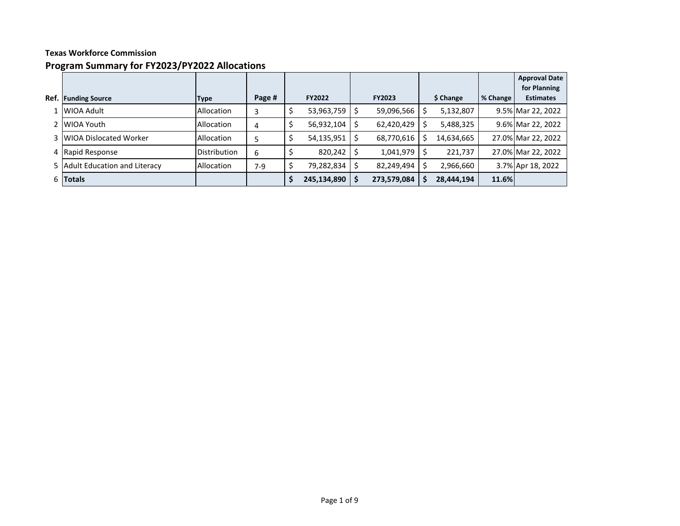# **Program Summary for FY2023/PY2022 Allocations**

|      |                                |                     |        |               |               |   |            |          | <b>Approval Date</b><br>for Planning |
|------|--------------------------------|---------------------|--------|---------------|---------------|---|------------|----------|--------------------------------------|
| Ref. | <b>Funding Source</b>          | <b>Type</b>         | Page # | <b>FY2022</b> | <b>FY2023</b> |   | \$ Change  | % Change | <b>Estimates</b>                     |
|      | WIOA Adult                     | Allocation          | 3      | 53,963,759    | 59,096,566    |   | 5,132,807  |          | 9.5% Mar 22, 2022                    |
|      | WIOA Youth                     | Allocation          | 4      | 56,932,104    | 62,420,429    |   | 5,488,325  |          | 9.6% Mar 22, 2022                    |
|      | 3 WIOA Dislocated Worker       | Allocation          | 5      | 54,135,951    | 68,770,616    |   | 14,634,665 |          | 27.0% Mar 22, 2022                   |
|      | 4 Rapid Response               | <b>Distribution</b> | 6      | 820,242       | 1,041,979     |   | 221,737    |          | 27.0% Mar 22, 2022                   |
|      | 5 Adult Education and Literacy | Allocation          | $7-9$  | 79,282,834    | 82,249,494    |   | 2,966,660  |          | 3.7% Apr 18, 2022                    |
| 6    | <b>Totals</b>                  |                     |        | 245,134,890   | 273,579,084   | S | 28,444,194 | 11.6%    |                                      |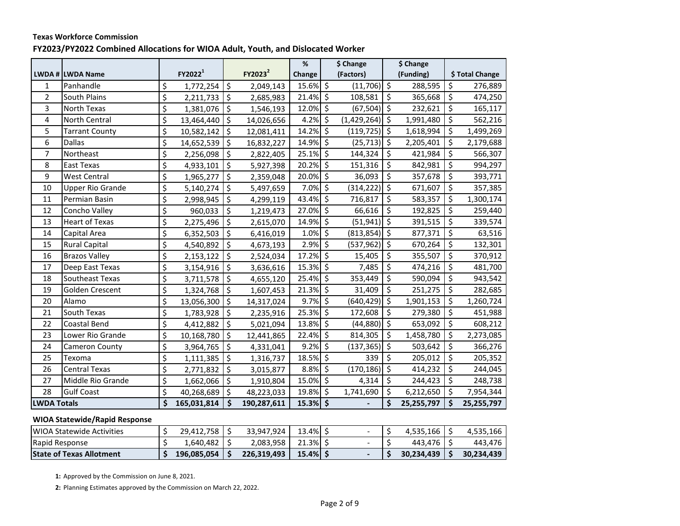### **Texas Workforce Commission FY2023/PY2022 Combined Allocations for WIOA Adult, Youth, and Dislocated Worker**

|                    |                         |    |                     |    |                     | $\%$       | \$ Change             |                     | \$ Change  |                         |                 |
|--------------------|-------------------------|----|---------------------|----|---------------------|------------|-----------------------|---------------------|------------|-------------------------|-----------------|
|                    | LWDA # LWDA Name        |    | FY2022 <sup>1</sup> |    | FY2023 <sup>2</sup> | Change     | (Factors)             |                     | (Funding)  |                         | \$ Total Change |
| 1                  | Panhandle               | \$ | 1,772,254           | \$ | 2,049,143           | 15.6% \$   | $(11,706)$ \$         |                     | 288,595    | \$                      | 276,889         |
| $\overline{2}$     | South Plains            | \$ | 2,211,733           | \$ | 2,685,983           | 21.4% \$   | 108,581               | \$                  | 365,668    | \$                      | 474,250         |
| 3                  | North Texas             | \$ | 1,381,076           | \$ | 1,546,193           | 12.0% \$   | $(67,504)$ \$         |                     | 232,621    | \$                      | 165,117         |
| 4                  | North Central           | \$ | 13,464,440          | \$ | 14,026,656          | $4.2\%$ \$ | $(1,429,264)$ \$      |                     | 1,991,480  | \$                      | 562,216         |
| 5                  | <b>Tarrant County</b>   | \$ | 10,582,142          | \$ | 12,081,411          | 14.2% \$   | (119, 725)            | \$                  | 1,618,994  | \$                      | 1,499,269       |
| 6                  | <b>Dallas</b>           | \$ | 14,652,539          | \$ | 16,832,227          | 14.9% \$   | (25, 713)             | \$ ا                | 2,205,401  | \$                      | 2,179,688       |
| $\overline{7}$     | Northeast               | \$ | 2,256,098           | \$ | 2,822,405           | 25.1% \$   | 144,324               | \$                  | 421,984    | \$                      | 566,307         |
| 8                  | East Texas              | \$ | 4,933,101           | \$ | 5,927,398           | 20.2% \$   | 151,316               | \$                  | 842,981    | \$                      | 994,297         |
| 9                  | <b>West Central</b>     | \$ | 1,965,277           | \$ | 2,359,048           | 20.0% \$   | 36,093                | \$                  | 357,678    | \$                      | 393,771         |
| 10                 | <b>Upper Rio Grande</b> | \$ | 5,140,274           | \$ | 5,497,659           | 7.0% \$    | (314, 222)            | \$ ا                | 671,607    | \$                      | 357,385         |
| 11                 | Permian Basin           | \$ | 2,998,945           | \$ | 4,299,119           | 43.4% \$   | 716,817               | \$                  | 583,357    | \$                      | 1,300,174       |
| 12                 | Concho Valley           | \$ | 960,033             | \$ | 1,219,473           | 27.0% \$   | 66,616                | \$                  | 192,825    | \$                      | 259,440         |
| 13                 | <b>Heart of Texas</b>   | \$ | 2,275,496           | \$ | 2,615,070           | 14.9% \$   | $(51,941)$ \$         |                     | 391,515    | \$                      | 339,574         |
| 14                 | Capital Area            | \$ | 6,352,503           | \$ | 6,416,019           | 1.0%       | \$<br>$(813, 854)$ \$ |                     | 877,371    | $\overline{\mathsf{S}}$ | 63,516          |
| 15                 | <b>Rural Capital</b>    | \$ | 4,540,892           | \$ | 4,673,193           | 2.9% \$    | (537, 962)            | \$ ا                | 670,264    | \$                      | 132,301         |
| 16                 | <b>Brazos Valley</b>    | \$ | 2,153,122           | \$ | 2,524,034           | 17.2% \$   | 15,405                | \$                  | 355,507    | \$                      | 370,912         |
| 17                 | Deep East Texas         | \$ | 3,154,916           | \$ | 3,636,616           | 15.3% \$   | 7,485                 | \$                  | 474,216    | \$                      | 481,700         |
| 18                 | Southeast Texas         | \$ | 3,711,578           | \$ | 4,655,120           | 25.4% \$   | 353,449               | \$                  | 590,094    | \$                      | 943,542         |
| 19                 | Golden Crescent         | \$ | 1,324,768           | \$ | 1,607,453           | 21.3% \$   | 31,409                | \$                  | 251,275    | \$                      | 282,685         |
| 20                 | Alamo                   | \$ | 13,056,300          | \$ | 14,317,024          | $9.7\%$ \$ | (640, 429)            | \$ ا                | 1,901,153  | \$                      | 1,260,724       |
| 21                 | South Texas             | \$ | 1,783,928           | \$ | 2,235,916           | 25.3% \$   | 172,608               | \$                  | 279,380    | \$                      | 451,988         |
| 22                 | Coastal Bend            | \$ | 4,412,882           | \$ | 5,021,094           | 13.8% \$   | (44, 880)             | $\ddot{\mathsf{S}}$ | 653,092    | \$                      | 608,212         |
| 23                 | Lower Rio Grande        | \$ | 10,168,780          | \$ | 12,441,865          | 22.4% \$   | 814,305               | \$                  | 1,458,780  | \$                      | 2,273,085       |
| 24                 | Cameron County          | \$ | 3,964,765           | \$ | 4,331,041           | $9.2\%$ \$ | $(137, 365)$ \$       |                     | 503,642    | \$                      | 366,276         |
| 25                 | Texoma                  | \$ | 1,111,385           | \$ | 1,316,737           | 18.5% \$   | 339                   | \$                  | 205,012    | \$                      | 205,352         |
| 26                 | <b>Central Texas</b>    | \$ | 2,771,832           | \$ | 3,015,877           | 8.8%       | \$<br>(170, 186)      | $\zeta$             | 414,232    | \$                      | 244,045         |
| 27                 | Middle Rio Grande       | \$ | 1,662,066           | \$ | 1,910,804           | 15.0% \$   | 4,314                 | \$                  | 244,423    | \$                      | 248,738         |
| 28                 | <b>Gulf Coast</b>       | \$ | 40,268,689          | \$ | 48,223,033          | 19.8% \$   | 1,741,690             | \$                  | 6,212,650  | \$                      | 7,954,344       |
| <b>LWDA Totals</b> |                         | Ś  | 165,031,814         | Ś. | 190,287,611         | 15.3% \$   |                       | \$                  | 25,255,797 | \$                      | 25,255,797      |

#### **WIOA Statewide/Rapid Response**

| <b>IWIOA Statewide Activities</b> | 29.412.758  | 33.947.924  | 13.4% |  | 4.535.166  | 4.535.166  |
|-----------------------------------|-------------|-------------|-------|--|------------|------------|
| Rapid Response                    | 1.640.482   | 2.083.958   | 21.3% |  | 443.476    | 443.476    |
| <b>State of Texas Allotment</b>   | 196.085.054 | 226,319,493 | 15.4% |  | 30.234.439 | 30.234.439 |

**1:** Approved by the Commission on June 8, 2021.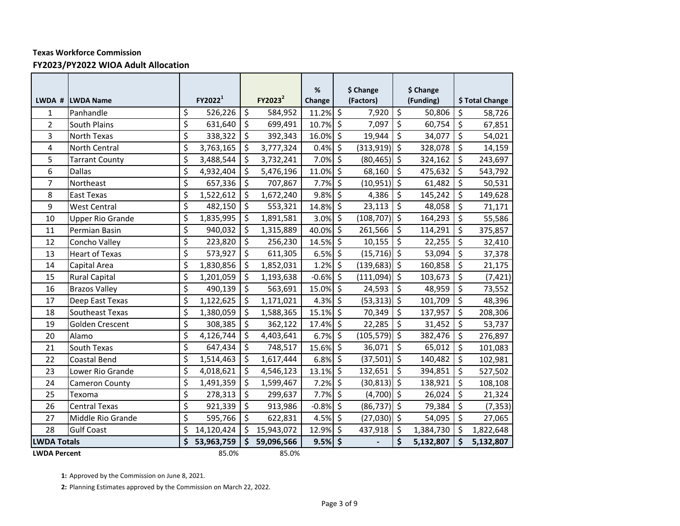#### **FY2023/PY2022 WIOA Adult Allocation**

|                    | LWDA # LWDA Name        |                         | FY2022 <sup>1</sup> |                          | FY2023 <sup>2</sup> | %<br>Change |                          | \$ Change<br>(Factors) |                  | \$ Change<br>(Funding) |         | \$ Total Change |
|--------------------|-------------------------|-------------------------|---------------------|--------------------------|---------------------|-------------|--------------------------|------------------------|------------------|------------------------|---------|-----------------|
| $\mathbf{1}$       | Panhandle               | \$                      | 526,226             | $\zeta$                  | 584,952             | 11.2%       | $\overline{\mathcal{S}}$ | 7,920                  | \$               | 50,806                 | $\zeta$ | 58,726          |
| $\overline{2}$     | <b>South Plains</b>     | \$                      | 631,640             | $\overline{\xi}$         | 699,491             | 10.7%       | $\zeta$                  | 7,097                  | $\overline{\xi}$ | 60,754                 | $\zeta$ | 67,851          |
| 3                  | North Texas             | $\overline{\mathsf{S}}$ | 338,322             | $\zeta$                  | 392,343             | 16.0%       | \$                       | 19,944                 | \$               | 34,077                 | \$      | 54,021          |
| 4                  | <b>North Central</b>    | \$                      | 3,763,165           | \$                       | 3,777,324           | 0.4%        | \$                       | (313, 919)             | $\zeta$          | 328,078                | $\zeta$ | 14,159          |
| 5                  | <b>Tarrant County</b>   | \$                      | 3,488,544           | \$                       | 3,732,241           | 7.0%        | $\zeta$                  | (80, 465)              | $\zeta$          | 324,162                | $\zeta$ | 243,697         |
| 6                  | <b>Dallas</b>           | \$                      | 4,932,404           | $\zeta$                  | 5,476,196           | 11.0%       | \$                       | 68,160                 | \$               | 475,632                | \$      | 543,792         |
| $\overline{7}$     | Northeast               | \$                      | 657,336             | $\zeta$                  | 707,867             | 7.7%        | \$                       | (10, 951)              | \$               | 61,482                 | \$      | 50,531          |
| 8                  | East Texas              | \$                      | 1,522,612           | $\zeta$                  | 1,672,240           | 9.8%        | \$                       | 4,386                  | \$               | 145,242                | \$      | 149,628         |
| 9                  | <b>West Central</b>     | \$                      | 482,150             | $\overline{\varsigma}$   | 553,321             | 14.8%       | \$                       | 23,113                 | \$               | 48,058                 | $\zeta$ | 71,171          |
| 10                 | <b>Upper Rio Grande</b> | \$                      | 1,835,995           | $\zeta$                  | 1,891,581           | 3.0%        | \$                       | (108, 707)             | \$               | 164,293                | $\zeta$ | 55,586          |
| 11                 | Permian Basin           | \$                      | 940,032             | $\zeta$                  | 1,315,889           | 40.0%       | \$                       | 261,566                | \$               | 114,291                | $\zeta$ | 375,857         |
| 12                 | Concho Valley           | \$                      | 223,820             | $\overline{\mathcal{S}}$ | 256,230             | 14.5%       | \$                       | 10,155                 | \$               | 22,255                 | $\zeta$ | 32,410          |
| 13                 | <b>Heart of Texas</b>   | \$                      | 573,927             | $\overline{\xi}$         | 611,305             | 6.5%        | \$                       | (15, 716)              | $\zeta$          | 53,094                 | \$      | 37,378          |
| 14                 | Capital Area            | \$                      | 1,830,856           | \$                       | 1,852,031           | 1.2%        | $\zeta$                  | $(139, 683)$ \$        |                  | 160,858                | $\zeta$ | 21,175          |
| 15                 | <b>Rural Capital</b>    | \$                      | 1,201,059           | \$                       | 1,193,638           | $-0.6%$     | \$                       | (111,094)              | \$               | 103,673                | \$      | (7, 421)        |
| 16                 | <b>Brazos Valley</b>    | \$                      | 490,139             | \$                       | 563,691             | 15.0%       | \$                       | 24,593                 | \$               | 48,959                 | \$      | 73,552          |
| 17                 | Deep East Texas         | \$                      | 1,122,625           | \$                       | 1,171,021           | 4.3%        | \$                       | (53, 313)              | \$               | 101,709                | $\zeta$ | 48,396          |
| 18                 | Southeast Texas         | \$                      | 1,380,059           | \$                       | 1,588,365           | 15.1%       | $\zeta$                  | 70,349                 | \$               | 137,957                | \$      | 208,306         |
| 19                 | Golden Crescent         | \$                      | 308,385             | $\overline{\xi}$         | 362,122             | 17.4%       | \$                       | 22,285                 | \$               | 31,452                 | $\zeta$ | 53,737          |
| 20                 | Alamo                   | \$                      | 4,126,744           | \$                       | 4,403,641           | 6.7%        | \$                       | (105, 579)             | $\zeta$          | 382,476                | \$      | 276,897         |
| 21                 | South Texas             | \$                      | 647,434             | $\zeta$                  | 748,517             | 15.6%       | \$                       | 36,071                 | \$               | 65,012                 | \$      | 101,083         |
| 22                 | Coastal Bend            | \$                      | 1,514,463           | \$                       | 1,617,444           | 6.8%        | \$                       | (37, 501)              | \$               | 140,482                | \$      | 102,981         |
| 23                 | Lower Rio Grande        | \$                      | 4,018,621           | \$                       | 4,546,123           | 13.1%       | \$                       | 132,651                | \$               | 394,851                | \$      | 527,502         |
| 24                 | Cameron County          | \$                      | 1,491,359           | \$                       | 1,599,467           | 7.2%        | \$                       | (30, 813)              | \$               | 138,921                | \$      | 108,108         |
| 25                 | Texoma                  | \$                      | 278,313             | $\zeta$                  | 299,637             | 7.7%        | \$                       | (4,700)                | l\$              | 26,024                 | $\zeta$ | 21,324          |
| 26                 | <b>Central Texas</b>    | \$                      | 921,339             | $\zeta$                  | 913,986             | $-0.8%$     | \$                       | (86, 737)              | $\zeta$          | 79,384                 | $\zeta$ | (7, 353)        |
| 27                 | Middle Rio Grande       | \$                      | 595,766             | $\zeta$                  | 622,831             | 4.5%        | \$                       | $(27,030)$ \$          |                  | 54,095                 | $\zeta$ | 27,065          |
| 28                 | <b>Gulf Coast</b>       | \$                      | 14,120,424          | \$                       | 15,943,072          | 12.9%       | $\zeta$                  | 437,918                | \$               | 1,384,730              | \$      | 1,822,648       |
| <b>LWDA Totals</b> |                         | \$                      | 53,963,759          | $\dot{\mathsf{s}}$       | 59,096,566          | 9.5%        | \$                       |                        | \$               | 5,132,807              | \$      | 5,132,807       |
|                    | <b>LWDA Percent</b>     |                         | 85.0%               |                          | 85.0%               |             |                          |                        |                  |                        |         |                 |

**1:** Approved by the Commission on June 8, 2021.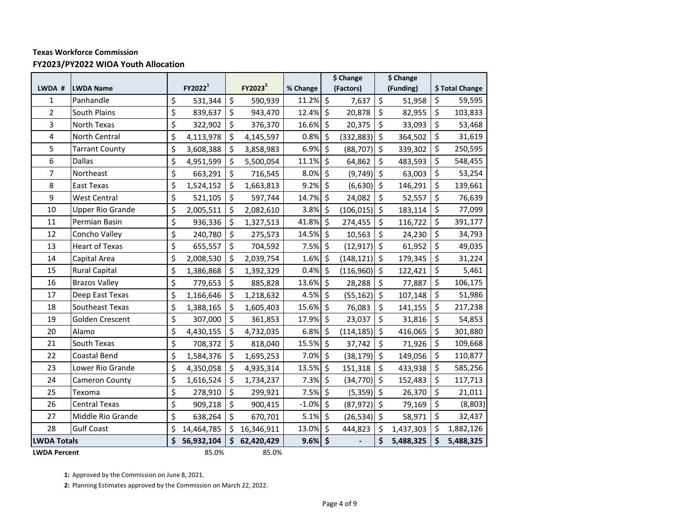## **Texas Workforce Commission FY2023/PY2022 WIOA Youth Allocation**

|                    |                         |    |                     |    |                     |          |                    | \$ Change     |         | \$ Change |    |                 |
|--------------------|-------------------------|----|---------------------|----|---------------------|----------|--------------------|---------------|---------|-----------|----|-----------------|
| LWDA #             | <b>LWDA Name</b>        |    | FY2022 <sup>1</sup> |    | FY2023 <sup>2</sup> | % Change |                    | (Factors)     |         | (Funding) |    | \$ Total Change |
| $\mathbf{1}$       | Panhandle               | \$ | 531,344             | \$ | 590,939             | 11.2% \$ |                    | 7,637         | \$      | 51,958    | \$ | 59,595          |
| $\overline{2}$     | South Plains            | \$ | 839,637             | \$ | 943,470             | 12.4%    | $\zeta$            | 20,878        | \$      | 82,955    | \$ | 103,833         |
| 3                  | North Texas             | \$ | 322,902             | \$ | 376,370             | 16.6%    | $\zeta$            | 20,375        | \$      | 33,093    | \$ | 53,468          |
| 4                  | North Central           | \$ | 4,113,978           | \$ | 4,145,597           | 0.8%     | $\zeta$            | (332, 883)    | \$      | 364,502   | \$ | 31,619          |
| 5                  | <b>Tarrant County</b>   | \$ | 3,608,388           | \$ | 3,858,983           | 6.9%     | $\zeta$            | (88, 707)     | \$      | 339,302   | \$ | 250,595         |
| 6                  | <b>Dallas</b>           | \$ | 4,951,599           | \$ | 5,500,054           | 11.1%    | \$                 | 64,862        | \$      | 483,593   | \$ | 548,455         |
| $\overline{7}$     | Northeast               | \$ | 663,291             | \$ | 716,545             | 8.0%     | $\zeta$            | (9,749)       | $\zeta$ | 63,003    | \$ | 53,254          |
| 8                  | East Texas              | \$ | 1,524,152           | \$ | 1,663,813           | 9.2%     | $\zeta$            | (6,630)       | \$      | 146,291   | \$ | 139,661         |
| 9                  | <b>West Central</b>     | \$ | 521,105             | \$ | 597,744             | 14.7%    | Š.                 | 24,082        | \$      | 52,557    | \$ | 76,639          |
| 10                 | <b>Upper Rio Grande</b> | \$ | 2,005,511           | \$ | 2,082,610           | 3.8%     | \$                 | (106, 015)    | \$      | 183,114   | \$ | 77,099          |
| 11                 | Permian Basin           | \$ | 936,336             | \$ | 1,327,513           | 41.8%    | $\zeta$            | 274,455       | \$      | 116,722   | \$ | 391,177         |
| 12                 | Concho Valley           | \$ | 240,780             | \$ | 275,573             | 14.5%    | $\zeta$            | 10,563        | \$      | 24,230    | \$ | 34,793          |
| 13                 | <b>Heart of Texas</b>   | \$ | 655,557             | \$ | 704,592             | 7.5%     | $\zeta$            | (12, 917)     | $\zeta$ | 61,952    | \$ | 49,035          |
| 14                 | Capital Area            | \$ | 2,008,530           | \$ | 2,039,754           | 1.6%     | $\zeta$            | (148, 121)    | \$      | 179,345   | \$ | 31,224          |
| 15                 | <b>Rural Capital</b>    | \$ | 1,386,868           | \$ | 1,392,329           | 0.4%     | $\zeta$            | (116,960)     | \$ ا    | 122,421   | \$ | 5,461           |
| 16                 | <b>Brazos Valley</b>    | \$ | 779,653             | \$ | 885,828             | 13.6%    | $\zeta$            | 28,288        | \$      | 77,887    | \$ | 106,175         |
| 17                 | Deep East Texas         | \$ | 1,166,646           | Ś  | 1,218,632           | 4.5%     | \$                 | (55, 162)     | \$      | 107,148   | \$ | 51,986          |
| 18                 | Southeast Texas         | \$ | 1,388,165           | \$ | 1,605,403           | 15.6%    | \$                 | 76,083        | \$      | 141,155   | \$ | 217,238         |
| 19                 | Golden Crescent         | \$ | 307,000             | \$ | 361,853             | 17.9%    | \$                 | 23,037        | \$      | 31,816    | \$ | 54,853          |
| 20                 | Alamo                   | \$ | 4,430,155           | \$ | 4,732,035           | 6.8%     | $\zeta$            | (114, 185)    | \$      | 416,065   | \$ | 301,880         |
| 21                 | South Texas             | \$ | 708,372             | \$ | 818,040             | 15.5%    | $\zeta$            | 37,742        | \$      | 71,926    | \$ | 109,668         |
| 22                 | Coastal Bend            | \$ | 1,584,376           | \$ | 1,695,253           | 7.0%     | \$                 | (38, 179)     | $\zeta$ | 149,056   | \$ | 110,877         |
| 23                 | Lower Rio Grande        | \$ | 4,350,058           | \$ | 4,935,314           | 13.5%    | $\zeta$            | 151,318       | \$      | 433,938   | \$ | 585,256         |
| 24                 | Cameron County          | \$ | 1,616,524           | \$ | 1,734,237           | 7.3%     | $\ddot{\varsigma}$ | (34, 770)     | \$      | 152,483   | \$ | 117,713         |
| 25                 | Texoma                  | \$ | 278,910             | Ś. | 299,921             | 7.5%     | $\zeta$            | $(5,359)$ \$  |         | 26,370    | \$ | 21,011          |
| 26                 | <b>Central Texas</b>    | \$ | 909,218             | \$ | 900,415             | $-1.0%$  | $\zeta$            | (87, 972)     | $\zeta$ | 79,169    | \$ | (8, 803)        |
| 27                 | Middle Rio Grande       | \$ | 638,264             | \$ | 670,701             | 5.1%     | $\zeta$            | $(26,534)$ \$ |         | 58,971    | \$ | 32,437          |
| 28                 | <b>Gulf Coast</b>       |    | 14,464,785          | \$ | 16,346,911          | 13.0%    | $\zeta$            | 444,823       | \$      | 1,437,303 | \$ | 1,882,126       |
| <b>LWDA Totals</b> |                         | \$ | 56,932,104          |    | \$62,420,429        | 9.6%     | \$                 |               | \$      | 5,488,325 | \$ | 5,488,325       |
|                    | <b>LWDA Percent</b>     |    | 85.0%               |    | 85.0%               |          |                    |               |         |           |    |                 |

**1:** Approved by the Commission on June 8, 2021.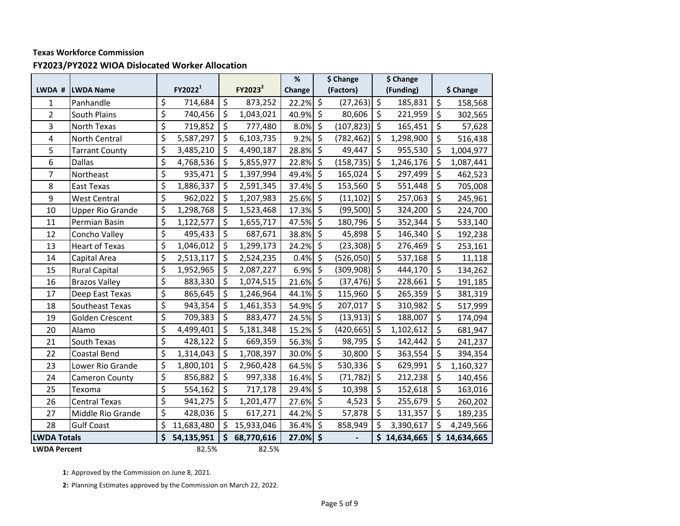### **FY2023/PY2022 WIOA Dislocated Worker Allocation**

|                     |                         |                                |                     |                          |                     | $\%$   |                          | \$ Change  |                          | \$ Change  |                 |
|---------------------|-------------------------|--------------------------------|---------------------|--------------------------|---------------------|--------|--------------------------|------------|--------------------------|------------|-----------------|
| LWDA #              | <b>LWDA Name</b>        |                                | FY2022 <sup>1</sup> |                          | FY2023 <sup>2</sup> | Change |                          | (Factors)  |                          | (Funding)  | \$ Change       |
| 1                   | Panhandle               | \$                             | 714,684             | $\zeta$                  | 873,252             | 22.2%  | $\overline{\mathcal{S}}$ | (27, 263)  | \$                       | 185,831    | \$<br>158,568   |
| $\overline{2}$      | <b>South Plains</b>     | \$                             | 740,456             | $\zeta$                  | 1,043,021           | 40.9%  | $\boldsymbol{\zeta}$     | 80,606     | \$                       | 221,959    | \$<br>302,565   |
| 3                   | <b>North Texas</b>      | \$                             | 719,852             | $\overline{\mathcal{S}}$ | 777,480             | 8.0%   | \$                       | (107, 823) | \$                       | 165,451    | \$<br>57,628    |
| 4                   | <b>North Central</b>    | \$                             | 5,587,297           | \$                       | 6,103,735           | 9.2%   | \$                       | (782, 462) | \$                       | 1,298,900  | \$<br>516,438   |
| 5                   | <b>Tarrant County</b>   | \$                             | 3,485,210           | $\zeta$                  | 4,490,187           | 28.8%  | $\zeta$                  | 49,447     | $\zeta$                  | 955,530    | \$<br>1,004,977 |
| 6                   | Dallas                  | \$                             | 4,768,536           | \$                       | 5,855,977           | 22.8%  | \$                       | (158, 735) | \$                       | 1,246,176  | \$<br>1,087,441 |
| 7                   | Northeast               | \$                             | 935,471             | \$                       | 1,397,994           | 49.4%  | \$                       | 165,024    | \$                       | 297,499    | \$<br>462,523   |
| 8                   | <b>East Texas</b>       | \$                             | 1,886,337           | \$                       | 2,591,345           | 37.4%  | \$                       | 153,560    | \$                       | 551,448    | \$<br>705,008   |
| 9                   | <b>West Central</b>     | \$                             | 962,022             | $\overline{\mathcal{S}}$ | 1,207,983           | 25.6%  | \$                       | (11, 102)  | $\overline{\mathcal{S}}$ | 257,063    | \$<br>245,961   |
| 10                  | <b>Upper Rio Grande</b> | \$                             | 1,298,768           | $\zeta$                  | 1,523,468           | 17.3%  | \$                       | (99, 500)  | \$                       | 324,200    | \$<br>224,700   |
| 11                  | Permian Basin           | \$                             | 1,122,577           | \$                       | 1,655,717           | 47.5%  | \$                       | 180,796    | \$                       | 352,344    | \$<br>533,140   |
| 12                  | Concho Valley           | $\boldsymbol{\dot{\varsigma}}$ | 495,433             | $\zeta$                  | 687,671             | 38.8%  | \$                       | 45,898     | \$                       | 146,340    | \$<br>192,238   |
| 13                  | <b>Heart of Texas</b>   | \$                             | 1,046,012           | $\zeta$                  | 1,299,173           | 24.2%  | \$                       | (23, 308)  | \$                       | 276,469    | \$<br>253,161   |
| 14                  | Capital Area            | \$                             | 2,513,117           | \$                       | 2,524,235           | 0.4%   | \$                       | (526, 050) | \$                       | 537,168    | \$<br>11,118    |
| 15                  | <b>Rural Capital</b>    | \$                             | 1,952,965           | \$                       | 2,087,227           | 6.9%   | $\zeta$                  | (309, 908) | \$                       | 444,170    | \$<br>134,262   |
| 16                  | <b>Brazos Valley</b>    | \$                             | 883,330             | $\zeta$                  | 1,074,515           | 21.6%  | \$                       | (37, 476)  | \$                       | 228,661    | \$<br>191,185   |
| 17                  | Deep East Texas         | \$                             | 865,645             | \$                       | 1,246,964           | 44.1%  | \$                       | 115,960    | \$                       | 265,359    | \$<br>381,319   |
| 18                  | Southeast Texas         | \$                             | 943,354             | $\overline{\mathcal{S}}$ | 1,461,353           | 54.9%  | \$                       | 207,017    | \$                       | 310,982    | \$<br>517,999   |
| 19                  | Golden Crescent         | \$                             | 709,383             | $\zeta$                  | 883,477             | 24.5%  | \$                       | (13, 913)  | \$                       | 188,007    | \$<br>174,094   |
| 20                  | Alamo                   | \$                             | 4,499,401           | \$                       | 5,181,348           | 15.2%  | \$                       | (420, 665) | \$                       | 1,102,612  | \$<br>681,947   |
| 21                  | South Texas             | \$                             | 428,122             | $\overline{\mathcal{S}}$ | 669,359             | 56.3%  | $\overline{\mathcal{S}}$ | 98,795     | \$                       | 142,442    | \$<br>241,237   |
| 22                  | <b>Coastal Bend</b>     | \$                             | 1,314,043           | \$                       | 1,708,397           | 30.0%  | \$                       | 30,800     | \$                       | 363,554    | \$<br>394,354   |
| 23                  | Lower Rio Grande        | \$                             | 1,800,101           | \$                       | 2,960,428           | 64.5%  | \$                       | 530,336    | \$                       | 629,991    | \$<br>1,160,327 |
| 24                  | Cameron County          | \$                             | 856,882             | $\overline{\xi}$         | 997,338             | 16.4%  | \$                       | (71, 782)  | \$                       | 212,238    | \$<br>140,456   |
| 25                  | Texoma                  | \$                             | 554,162             | $\zeta$                  | 717,178             | 29.4%  | \$                       | 10,398     | \$                       | 152,618    | \$<br>163,016   |
| 26                  | <b>Central Texas</b>    | \$                             | 941,275             | \$                       | 1,201,477           | 27.6%  | \$                       | 4,523      | \$                       | 255,679    | \$<br>260,202   |
| 27                  | Middle Rio Grande       | \$                             | 428,036             | $\overline{\mathcal{S}}$ | 617,271             | 44.2%  | $\overline{\mathcal{S}}$ | 57,878     | \$                       | 131,357    | \$<br>189,235   |
| 28                  | <b>Gulf Coast</b>       | \$                             | 11,683,480          | \$                       | 15,933,046          | 36.4%  | \$                       | 858,949    | \$                       | 3,390,617  | \$<br>4,249,566 |
| <b>LWDA Totals</b>  |                         | \$                             | 54,135,951          | \$                       | 68,770,616          | 27.0%  | \$                       |            | \$                       | 14,634,665 | \$14,634,665    |
| <b>LWDA Percent</b> |                         |                                | 82.5%               |                          | 82.5%               |        |                          |            |                          |            |                 |

**1:** Approved by the Commission on June 8, 2021.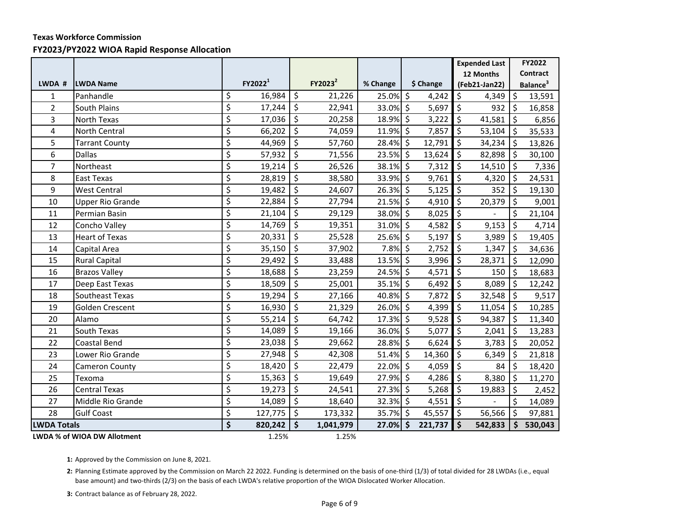#### **FY2023/PY2022 WIOA Rapid Response Allocation**

|                    |                             |                                 |                     |                          |                     |          |               |                          | <b>Expended Last</b> |         | FY2022               |
|--------------------|-----------------------------|---------------------------------|---------------------|--------------------------|---------------------|----------|---------------|--------------------------|----------------------|---------|----------------------|
|                    |                             |                                 |                     |                          |                     |          |               |                          | 12 Months            |         | <b>Contract</b>      |
| LWDA #             | <b>LWDA Name</b>            |                                 | FY2022 <sup>1</sup> |                          | FY2023 <sup>2</sup> | % Change | \$ Change     |                          | (Feb21-Jan22)        |         | Balance <sup>3</sup> |
| $\mathbf{1}$       | Panhandle                   | \$                              | 16,984              | $\zeta$                  | 21,226              | 25.0% \$ | 4,242         | \$                       | 4,349                | $\zeta$ | 13,591               |
| $\overline{2}$     | <b>South Plains</b>         | \$                              | 17,244              | $\zeta$                  | 22,941              | 33.0% \$ | 5,697         | $\ddot{\mathsf{S}}$      | 932                  | l\$     | 16,858               |
| 3                  | <b>North Texas</b>          | \$                              | 17,036              | $\zeta$                  | 20,258              | 18.9% \$ | 3,222         | \$                       | 41,581               | \$ ا    | 6,856                |
| 4                  | North Central               | \$                              | 66,202              | $\ddot{\mathsf{S}}$      | 74,059              | 11.9% \$ | 7,857         | \$                       | 53,104               | ۱\$     | 35,533               |
| 5                  | <b>Tarrant County</b>       | \$                              | 44,969              | $\ddot{\mathsf{S}}$      | 57,760              | 28.4% \$ | 12,791        | \$                       | 34,234               | \$ ا    | 13,826               |
| 6                  | <b>Dallas</b>               | $\overline{\xi}$                | 57,932              | $\vert \mathsf{S} \vert$ | 71,556              | 23.5% \$ | 13,624        | \$                       | 82,898               | l\$     | 30,100               |
| $\overline{7}$     | Northeast                   | $\overline{\varsigma}$          | 19,214              | \$                       | 26,526              | 38.1% \$ | 7,312         | \$                       | 14,510               | \$      | 7,336                |
| 8                  | <b>East Texas</b>           | $\overline{\varsigma}$          | 28,819              | $\vert$ \$               | 38,580              | 33.9% \$ | 9,761         | $\zeta$                  | 4,320                | l \$    | 24,531               |
| 9                  | <b>West Central</b>         | $\overline{\xi}$                | 19,482              | $\overline{\mathcal{S}}$ | 24,607              | 26.3% \$ | 5,125         | $\overline{\mathcal{S}}$ | 352                  | l \$    | 19,130               |
| 10                 | <b>Upper Rio Grande</b>     | $\overline{\xi}$                | 22,884              | $\zeta$                  | 27,794              | 21.5% \$ | 4,910         | \$                       | 20,379               | l\$     | 9,001                |
| 11                 | Permian Basin               | $\overline{\varsigma}$          | 21,104              | \$                       | 29,129              | 38.0% \$ | 8,025         | $\ddot{\mathsf{S}}$      |                      | \$      | 21,104               |
| 12                 | Concho Valley               | \$                              | 14,769              | $\zeta$                  | 19,351              | 31.0% \$ | 4,582         | $\zeta$                  | 9,153                | $\zeta$ | 4,714                |
| 13                 | <b>Heart of Texas</b>       | $\overline{\xi}$                | 20,331              | \$                       | 25,528              | 25.6% \$ | 5,197         | $\zeta$                  | 3,989                | l \$    | 19,405               |
| 14                 | Capital Area                | \$                              | 35,150              | $\zeta$                  | 37,902              | 7.8% \$  | 2,752         | $\zeta$                  | 1,347                | l \$    | 34,636               |
| 15                 | <b>Rural Capital</b>        | \$                              | 29,492              | $\ddot{\mathsf{S}}$      | 33,488              | 13.5% \$ | 3,996         | $\ddot{\mathsf{S}}$      | 28,371               | l\$     | 12,090               |
| 16                 | <b>Brazos Valley</b>        | \$                              | 18,688              | $\zeta$                  | 23,259              | 24.5% \$ | 4,571         | $\zeta$                  | 150                  | l \$    | 18,683               |
| 17                 | Deep East Texas             | $\overline{\xi}$                | 18,509              | \$                       | 25,001              | 35.1% \$ | 6,492         | $\zeta$                  | 8,089                | Ŝ.      | 12,242               |
| 18                 | Southeast Texas             | \$                              | 19,294              | \$                       | 27,166              | 40.8% \$ | 7,872         | \$                       | 32,548               | l \$    | 9,517                |
| 19                 | Golden Crescent             | $\overline{\varsigma}$          | 16,930              | $\zeta$                  | 21,329              | 26.0% \$ | 4,399         | $\zeta$                  | 11,054               | l\$     | 10,285               |
| 20                 | Alamo                       | $\overline{\xi}$                | 55,214              | $\ddot{\mathsf{S}}$      | 64,742              | 17.3% \$ | 9,528         | $\zeta$                  | 94,387               | lś      | 11,340               |
| 21                 | South Texas                 | $\overline{\xi}$                | 14,089              | $\ddot{\mathsf{S}}$      | 19,166              | 36.0% \$ | 5,077         | $\zeta$                  | 2,041                | l \$    | 13,283               |
| 22                 | Coastal Bend                | \$                              | 23,038              | $\zeta$                  | 29,662              | 28.8% \$ | 6,624         | $\zeta$                  | 3,783                | \$      | 20,052               |
| 23                 | Lower Rio Grande            | $\overline{\varsigma}$          | 27,948              | $\zeta$                  | 42,308              | 51.4% \$ | 14,360        | \$                       | 6,349                | l\$     | 21,818               |
| 24                 | Cameron County              | \$                              | 18,420              | \$                       | 22,479              | 22.0% \$ | 4,059         | Ŝ.                       | 84                   | l \$    | 18,420               |
| 25                 | Texoma                      | $\overline{\xi}$                | 15,363              | $\ddot{\mathsf{S}}$      | 19,649              | 27.9% \$ | 4,286         | $\ddot{\mathsf{S}}$      | 8,380                | \$ ا    | 11,270               |
| 26                 | <b>Central Texas</b>        | \$                              | 19,273              | $\vert$ \$               | 24,541              | 27.3% \$ | 5,268         | $\ddot{\mathsf{S}}$      | 19,883               | \$ ا    | 2,452                |
| 27                 | Middle Rio Grande           | \$                              | 14,089              | $\zeta$                  | 18,640              | 32.3% \$ | 4,551         | $\zeta$                  |                      | $\zeta$ | 14,089               |
| 28                 | <b>Gulf Coast</b>           | \$                              | 127,775             | $\ddot{\mathsf{S}}$      | 173,332             | 35.7% \$ | 45,557        | $\mathsf{S}$             | 56,566               | l \$    | 97,881               |
| <b>LWDA Totals</b> |                             | $\overline{\boldsymbol{\zeta}}$ | 820,242             | \$                       | 1,041,979           | 27.0%    | \$<br>221,737 | Ś                        | 542,833              | Ŝ.      | 530,043              |
|                    | LWDA % of WIOA DW Allotment |                                 | 1.25%               |                          | 1.25%               |          |               |                          |                      |         |                      |

**1:** Approved by the Commission on June 8, 2021.

**2:** Planning Estimate approved by the Commission on March 22 2022. Funding is determined on the basis of one-third (1/3) of total divided for 28 LWDAs (i.e., equal base amount) and two-thirds (2/3) on the basis of each LWDA's relative proportion of the WIOA Dislocated Worker Allocation.

**3:** Contract balance as of February 28, 2022.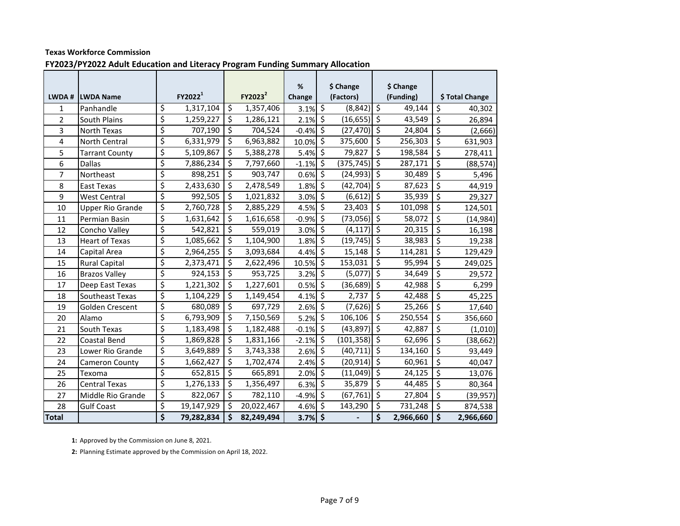**FY2023/PY2022 Adult Education and Literacy Program Funding Summary Allocation**

| LWDA #         | <b>LWDA Name</b>        | FY2022 <sup>1</sup> |                          | FY2023 <sup>2</sup> | %<br>Change            |                          | \$ Change<br>(Factors) |                          | \$ Change<br>(Funding) |                          | \$ Total Change |
|----------------|-------------------------|---------------------|--------------------------|---------------------|------------------------|--------------------------|------------------------|--------------------------|------------------------|--------------------------|-----------------|
| 1              | Panhandle               | \$<br>1,317,104     | \$                       | 1,357,406           | $3.1\%$ \$             |                          | (8, 842)               | \$                       | 49,144                 | \$                       | 40,302          |
| $\overline{2}$ | South Plains            | \$<br>1,259,227     | \$                       | 1,286,121           | 2.1%                   | \$                       | $(16, 655)$ \$         |                          | 43,549                 | \$                       | 26,894          |
| 3              | North Texas             | \$<br>707,190       | \$                       | 704,524             | $-0.4%$                | $\overline{\mathcal{S}}$ | (27, 470)              | $\zeta$                  | 24,804                 | \$                       | (2,666)         |
| 4              | North Central           | \$<br>6,331,979     | \$                       | 6,963,882           | 10.0%                  | $\overline{\xi}$         | 375,600                | $\zeta$                  | 256,303                | $\overline{\xi}$         | 631,903         |
| 5              | <b>Tarrant County</b>   | \$<br>5,109,867     | \$                       | 5,388,278           | $5.4\%$ $\overline{5}$ |                          | 79,827                 | $\overline{\mathcal{S}}$ | 198,584                | $\overline{\mathcal{S}}$ | 278,411         |
| 6              | Dallas                  | \$<br>7,886,234     | \$                       | 7,797,660           | $-1.1%$                | \$                       | (375, 745)             | ډ∣                       | 287,171                | \$                       | (88, 574)       |
| $\overline{7}$ | Northeast               | \$<br>898,251       | \$                       | 903,747             | 0.6%                   | $\overline{\xi}$         | $(24,993)$ \$          |                          | 30,489                 | \$                       | 5,496           |
| 8              | East Texas              | \$<br>2,433,630     | \$                       | 2,478,549           | 1.8%                   | \$                       | $(42, 704)$ \$         |                          | 87,623                 | \$                       | 44,919          |
| 9              | <b>West Central</b>     | \$<br>992,505       | \$                       | 1,021,832           | 3.0%                   | $\overline{\mathcal{S}}$ | $(6,612)$ \$           |                          | 35,939                 | \$                       | 29,327          |
| 10             | <b>Upper Rio Grande</b> | \$<br>2,760,728     | \$                       | 2,885,229           | 4.5%                   | \$                       | 23,403                 | $\zeta$                  | 101,098                | $\overline{\xi}$         | 124,501         |
| 11             | Permian Basin           | \$<br>1,631,642     | \$                       | 1,616,658           | $-0.9\%$ \$            |                          | $(73,056)$ \$          |                          | 58,072                 | \$                       | (14, 984)       |
| 12             | Concho Valley           | \$<br>542,821       | \$                       | 559,019             | 3.0%                   | \$                       | (4, 117)               | $\zeta$                  | 20,315                 | \$                       | 16,198          |
| 13             | <b>Heart of Texas</b>   | \$<br>1,085,662     | \$                       | 1,104,900           | 1.8%                   | $\overline{\xi}$         | (19, 745)              | $\zeta$                  | 38,983                 | $\overline{\xi}$         | 19,238          |
| 14             | Capital Area            | \$<br>2,964,255     | \$                       | 3,093,684           | 4.4%                   | \$                       | 15,148                 | \$                       | 114,281                | $\overline{\mathsf{S}}$  | 129,429         |
| 15             | <b>Rural Capital</b>    | \$<br>2,373,471     | \$                       | 2,622,496           | 10.5%                  | $\overline{\xi}$         | 153,031                | \$                       | 95,994                 | \$                       | 249,025         |
| 16             | <b>Brazos Valley</b>    | \$<br>924,153       | $\overline{\mathcal{S}}$ | 953,725             | $3.2\%$ \$             |                          | (5,077)                | ऽ                        | 34,649                 | $\overline{\mathsf{S}}$  | 29,572          |
| 17             | Deep East Texas         | \$<br>1,221,302     | \$                       | 1,227,601           | $0.5\%$ \$             |                          | (36, 689)              | 5                        | 42,988                 | \$                       | 6,299           |
| 18             | Southeast Texas         | \$<br>1,104,229     | \$                       | 1,149,454           | 4.1%                   | \$                       | 2,737                  | \$                       | 42,488                 | $\overline{\xi}$         | 45,225          |
| 19             | Golden Crescent         | \$<br>680,089       | \$                       | 697,729             | $2.6\%$ \$             |                          | (7,626)                | $\ddot{\phi}$            | 25,266                 | $\overline{\mathcal{S}}$ | 17,640          |
| 20             | Alamo                   | \$<br>6,793,909     | \$                       | 7,150,569           | 5.2%                   | \$                       | 106,106                | \$                       | 250,554                | \$                       | 356,660         |
| 21             | South Texas             | \$<br>1,183,498     | \$                       | 1,182,488           | $-0.1%$                | \$                       | (43, 897)              | $\ddot{\circ}$           | 42,887                 | \$                       | (1,010)         |
| 22             | Coastal Bend            | \$<br>1,869,828     | \$                       | 1,831,166           | $-2.1%$                | \$                       | (101, 358)             | \$                       | 62,696                 | $\overline{\xi}$         | (38, 662)       |
| 23             | Lower Rio Grande        | \$<br>3,649,889     | \$                       | 3,743,338           | 2.6%                   | \$                       | (40, 711)              | $\ddot{\mathsf{s}}$      | 134,160                | \$                       | 93,449          |
| 24             | Cameron County          | \$<br>1,662,427     | \$                       | 1,702,474           | 2.4%                   | \$                       | (20, 914)              | $\ddot{\phi}$            | 60,961                 | \$                       | 40,047          |
| 25             | Texoma                  | \$<br>652,815       | \$                       | 665,891             | 2.0%                   | $\overline{\xi}$         | (11,049)               | $\zeta$                  | 24,125                 | $\overline{\xi}$         | 13,076          |
| 26             | <b>Central Texas</b>    | \$<br>1,276,133     | \$                       | 1,356,497           | 6.3%                   | $\overline{\mathcal{S}}$ | 35,879                 | \$                       | 44,485                 | \$                       | 80,364          |
| 27             | Middle Rio Grande       | \$<br>822,067       | $\overline{\xi}$         | 782,110             | $-4.9%$                | $\overline{\xi}$         | (67, 761)              | ऽ                        | 27,804                 | $\overline{\mathcal{S}}$ | (39, 957)       |
| 28             | <b>Gulf Coast</b>       | \$<br>19,147,929    | \$                       | 20,022,467          | 4.6%                   | \$                       | 143,290                | \$                       | 731,248                | $\boldsymbol{\zeta}$     | 874,538         |
| <b>Total</b>   |                         | \$<br>79,282,834    | \$                       | 82,249,494          | $3.7%$ \$              |                          |                        | \$                       | 2,966,660              | \$                       | 2,966,660       |

**1:** Approved by the Commission on June 8, 2021.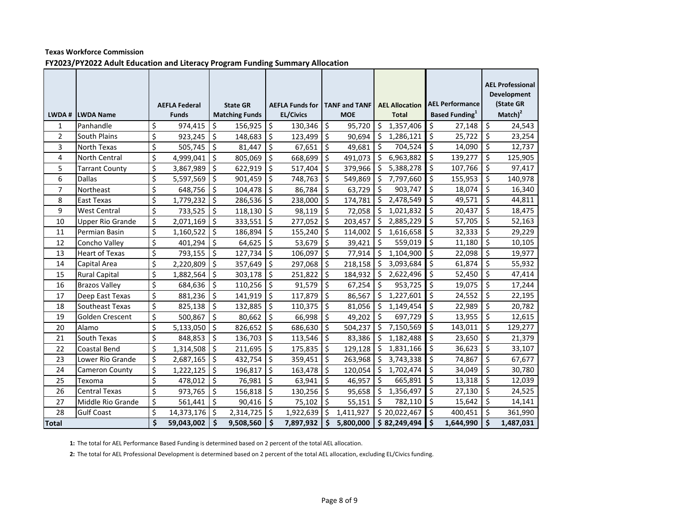|                     |                                    |                         | <b>AEFLA Federal</b>    |            | <b>State GR</b>       |                     | <b>AEFLA Funds for</b> |          | <b>TANF and TANF</b> |                   | <b>AEL Allocation</b> |                          | <b>AEL Performance</b>            |          | <b>AEL Professional</b><br><b>Development</b><br>(State GR<br>$Match$ <sup>2</sup> |
|---------------------|------------------------------------|-------------------------|-------------------------|------------|-----------------------|---------------------|------------------------|----------|----------------------|-------------------|-----------------------|--------------------------|-----------------------------------|----------|------------------------------------------------------------------------------------|
|                     | LWDA # LWDA Name                   |                         | <b>Funds</b>            |            | <b>Matching Funds</b> |                     | <b>EL/Civics</b>       |          | <b>MOE</b>           |                   | <b>Total</b>          |                          | <b>Based Funding</b> <sup>1</sup> |          |                                                                                    |
| 1                   | Panhandle                          | \$                      | 974,415<br>$923,245$ \$ | \$         | 156,925               | \$                  | 130,346                | \$       | 95,720               | Ś.                | 1,357,406             | $\zeta$<br>\$            | 27,148                            | \$<br>\$ | 24,543                                                                             |
| $\overline{2}$<br>3 | South Plains<br><b>North Texas</b> | \$<br>\$                |                         |            | 148,683               | \$<br>\$            | 123,499                | \$<br>\$ | 90,694               | $\vert$ \$<br>۱\$ | 1,286,121<br>704,524  | \$                       | 25,722<br>14,090                  | \$       | 23,254<br>12,737                                                                   |
| $\overline{4}$      | <b>North Central</b>               | \$                      | 505,745<br>4,999,041 \$ | $\zeta$    | 81,447<br>805,069     | \$                  | 67,651<br>668,699      | \$       | 49,681<br>491,073 \$ |                   | 6,963,882             | \$                       | 139,277                           | \$       | 125,905                                                                            |
| 5                   | <b>Tarrant County</b>              | \$                      | $3,867,989$ \$          |            | 622,919               | $\zeta$             | 517,404                | \$       | 379,966              | \$                | 5,388,278             | $\zeta$                  | 107,766                           | \$       | 97,417                                                                             |
| 6                   | <b>Dallas</b>                      | \$                      | 5,597,569               | \$         | 901,459               | \$                  | 748,763                | \$       | 549,869              | \$                | 7,797,660             | $\overline{\mathcal{S}}$ | 155,953                           | \$       | 140,978                                                                            |
| $\overline{7}$      | Northeast                          | \$                      | 648,756                 | \$         | 104,478               | \$                  | 86,784                 | \$       | 63,729               | \$ ا              | 903,747               | \$                       | 18,074                            | Ś.       | 16,340                                                                             |
| 8                   | <b>East Texas</b>                  | $\overline{\xi}$        | 1,779,232               | \$         | 286,536               | \$                  | 238,000                | \$       | 174,781              | $\vert \zeta$     | 2,478,549             | $\zeta$                  | 49,571                            | \$       | 44,811                                                                             |
| 9                   | <b>West Central</b>                | \$                      | 733,525                 | \$         | 118,130               | $\zeta$             | 98,119                 | \$       | 72,058               | \$                | 1,021,832             | \$                       | 20,437                            | \$       | 18,475                                                                             |
| 10                  | <b>Upper Rio Grande</b>            | \$                      | 2,071,169               | \$         | 333,551               | $\zeta$             | 277,052                | \$       | 203,457              | -\$               | 2,885,229             | \$                       | 57,705                            | \$       | 52,163                                                                             |
| 11                  | Permian Basin                      | \$                      | 1,160,522               | \$         | 186,894               | \$                  | 155,240                | \$       | 114,002              | \$                | 1,616,658             | $\zeta$                  | 32,333                            | \$       | 29,229                                                                             |
| 12                  | Concho Valley                      | \$                      | 401,294                 | \$         | 64,625                | Ŝ.                  | 53,679                 | \$       | 39,421               | \$ ا              | 559,019               | \$                       | 11,180                            | Ś.       | 10,105                                                                             |
| 13                  | <b>Heart of Texas</b>              | \$                      | 793,155                 | $\zeta$    | 127,734               | \$                  | 106,097                | \$       | 77,914               | $\vert$ \$        | 1,104,900             | \$                       | 22,098                            | \$       | 19,977                                                                             |
| 14                  | Capital Area                       | \$                      | 2,220,809               | $\vert$ \$ | 357,649               | \$                  | 297,068                | \$       | $218,158$ \$         |                   | 3,093,684             | $\zeta$                  | 61,874                            | \$       | 55,932                                                                             |
| 15                  | <b>Rural Capital</b>               | \$                      | 1,882,564               | $\zeta$    | 303,178               | $\zeta$             | 251,822                | $\zeta$  | 184,932 \$           |                   | 2,622,496             | $\zeta$                  | 52,450                            | \$       | 47,414                                                                             |
| 16                  | <b>Brazos Valley</b>               | \$                      | 684,636                 | \$         | 110,256               | $\zeta$             | 91,579                 | \$       | 67,254               | \$                | 953,725               | $\zeta$                  | 19,075                            | \$       | 17,244                                                                             |
| 17                  | Deep East Texas                    | \$                      | 881,236                 | \$         | 141,919               | \$                  | 117,879                | \$       | 86,567               | l \$              | 1,227,601             | \$                       | 24,552                            | \$       | 22,195                                                                             |
| 18                  | Southeast Texas                    | \$                      | 825,138                 | \$         | 132,885               | \$                  | 110,375                | \$       | $81,056$ \$          |                   | 1,149,454             | \$                       | 22,989                            | \$       | 20,782                                                                             |
| 19                  | Golden Crescent                    | $\overline{\mathsf{S}}$ | 500,867                 | $\zeta$    | 80,662                | \$                  | 66,998                 | \$       | 49,202               | $\vert$ \$        | 697,729               | $\zeta$                  | 13,955                            | \$       | 12,615                                                                             |
| 20                  | Alamo                              | \$                      | 5,133,050               | $\zeta$    | 826,652               | $\zeta$             | 686,630                | \$       | 504,237              | \$                | 7,150,569             | \$                       | 143,011                           | \$       | 129,277                                                                            |
| 21                  | South Texas                        | \$                      | 848,853                 | \$         | 136,703               | \$                  | 113,546                | \$       | 83,386               | \$                | 1,182,488             | $\zeta$                  | 23,650                            | \$       | 21,379                                                                             |
| 22                  | Coastal Bend                       | \$                      | 1,314,508               | \$         | 211,695               | Ŝ.                  | 175,835                | Ś.       | 129,128              | Ŝ.                | 1,831,166             | Ŝ.                       | 36,623                            | Ś.       | 33,107                                                                             |
| 23                  | Lower Rio Grande                   | \$                      | 2,687,165               | \$         | 432,754               | \$                  | 359,451                | \$       | 263,968 \$           |                   | 3,743,338             | \$                       | 74,867                            | \$       | 67,677                                                                             |
| 24                  | <b>Cameron County</b>              | $\overline{\mathsf{S}}$ | $1,222,125$ \$          |            | 196,817               | $\zeta$             | 163,478                | \$       | 120,054 \$           |                   | 1,702,474             | $\zeta$                  | 34,049                            | \$       | 30,780                                                                             |
| 25                  | Texoma                             | \$                      | 478,012 \$              |            | 76,981                | $\zeta$             | $63,941$ \$            |          | 46,957               | $\vert$ \$        | 665,891               | $\zeta$                  | 13,318                            | \$       | 12,039                                                                             |
| 26                  | <b>Central Texas</b>               | \$                      | 973,765                 | \$         | 156,818               | \$                  | 130,256                | \$       | 95,658               | \$                | 1,356,497             | $\zeta$                  | 27,130                            | \$       | 24,525                                                                             |
| 27                  | Middle Rio Grande                  | \$                      | 561,441                 | \$         | 90,416                | Ŝ.                  | 75,102                 | Ś.       | 55,151               | Ś.                | 782,110               | \$                       | 15,642                            | Ś.       | 14,141                                                                             |
| 28                  | <b>Gulf Coast</b>                  | \$                      | 14,373,176 \$           |            | 2,314,725             | Ś.                  | 1,922,639              | Ŝ.       | 1,411,927            |                   | \$20,022,467          | Ŝ.                       | 400,451                           | Ś        | 361,990                                                                            |
| <b>Total</b>        |                                    | \$                      | 59,043,002              | \$         | 9,508,560             | $\ddot{\bm{\zeta}}$ | 7,897,932              | \$       | 5,800,000            |                   | \$82,249,494          | $\dot{\mathsf{s}}$       | 1,644,990                         | \$       | 1,487,031                                                                          |

#### **Texas Workforce Commission FY2023/PY2022 Adult Education and Literacy Program Funding Summary Allocation**

**1:** The total for AEL Performance Based Funding is determined based on 2 percent of the total AEL allocation.

**2:** The total for AEL Professional Development is determined based on 2 percent of the total AEL allocation, excluding EL/Civics funding.